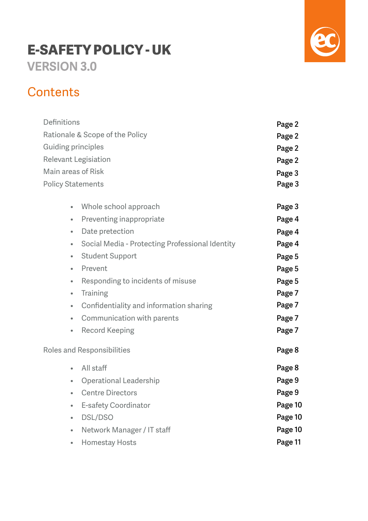# **E-SAFETY POLICY - UK VERSION 3.0**



# **Contents**

| Definitions                     | Page 2                                          |         |
|---------------------------------|-------------------------------------------------|---------|
| Rationale & Scope of the Policy | Page 2                                          |         |
| <b>Guiding principles</b>       | Page 2                                          |         |
| <b>Relevant Legisiation</b>     | Page 2                                          |         |
| Main areas of Risk              |                                                 | Page 3  |
| <b>Policy Statements</b>        | Page 3                                          |         |
|                                 |                                                 |         |
| $\bullet$                       | Whole school approach                           | Page 3  |
| $\qquad \qquad \bullet$         | Preventing inappropriate                        | Page 4  |
| $\bullet$                       | Date pretection                                 | Page 4  |
| $\bullet$                       | Social Media - Protecting Professional Identity | Page 4  |
| $\bullet$                       | <b>Student Support</b>                          | Page 5  |
| $\bullet$                       | Prevent                                         | Page 5  |
| $\qquad \qquad \bullet$         | Responding to incidents of misuse               | Page 5  |
| $\bullet$                       | Training                                        | Page 7  |
| $\bullet$                       | Confidentiality and information sharing         | Page 7  |
| $\bullet$                       | Communication with parents                      | Page 7  |
| $\bullet$                       | <b>Record Keeping</b>                           | Page 7  |
|                                 | <b>Roles and Responsibilities</b>               |         |
| $\bullet$                       | All staff                                       | Page 8  |
| $\qquad \qquad \bullet$         | <b>Operational Leadership</b>                   | Page 9  |
| $\bullet$                       | <b>Centre Directors</b>                         | Page 9  |
|                                 | <b>E-safety Coordinator</b>                     | Page 10 |
|                                 | DSL/DSO                                         | Page 10 |
| $\bullet$                       | Network Manager / IT staff                      | Page 10 |
|                                 | <b>Homestay Hosts</b>                           | Page 11 |
|                                 |                                                 |         |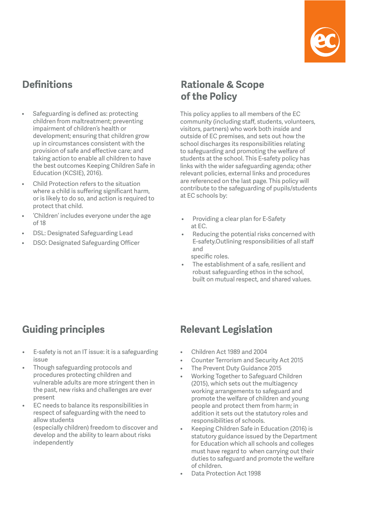

# **Definitions**

- Safeguarding is defined as: protecting children from maltreatment; preventing impairment of children's health or development; ensuring that children grow up in circumstances consistent with the provision of safe and effective care; and taking action to enable all children to have the best outcomes Keeping Children Safe in Education (KCSIE), 2016).
- Child Protection refers to the situation where a child is suffering significant harm, or is likely to do so, and action is required to protect that child.
- 'Children' includes everyone under the age of 18
- DSL: Designated Safeguarding Lead
- DSO: Designated Safeguarding Officer

# **Rationale & Scope of the Policy**

This policy applies to all members of the EC community (including staff, students, volunteers, visitors, partners) who work both inside and outside of EC premises, and sets out how the school discharges its responsibilities relating to safeguarding and promoting the welfare of students at the school. This E-safety policy has links with the wider safeguarding agenda; other relevant policies, external links and procedures are referenced on the last page. This policy will contribute to the safeguarding of pupils/students at EC schools by:

- Providing a clear plan for E-Safety at EC.
- Reducing the potential risks concerned with E-safety.Outlining responsibilities of all staff and specific roles.
- The establishment of a safe, resilient and robust safeguarding ethos in the school, built on mutual respect, and shared values.

# **Guiding principles**

independently

- E-safety is not an IT issue: it is a safeguarding issue
- Though safeguarding protocols and procedures protecting children and vulnerable adults are more stringent then in the past, new risks and challenges are ever present
- EC needs to balance its responsibilities in respect of safeguarding with the need to allow students (especially children) freedom to discover and develop and the ability to learn about risks

# **Relevant Legislation**

- Children Act 1989 and 2004
- Counter Terrorism and Security Act 2015
- The Prevent Duty Guidance 2015
- Working Together to Safeguard Children (2015), which sets out the multiagency working arrangements to safeguard and promote the welfare of children and young people and protect them from harm; in addition it sets out the statutory roles and responsibilities of schools.
- Keeping Children Safe in Education (2016) is statutory guidance issued by the Department for Education which all schools and colleges must have regard to when carrying out their duties to safeguard and promote the welfare of children.
- Data Protection Act 1998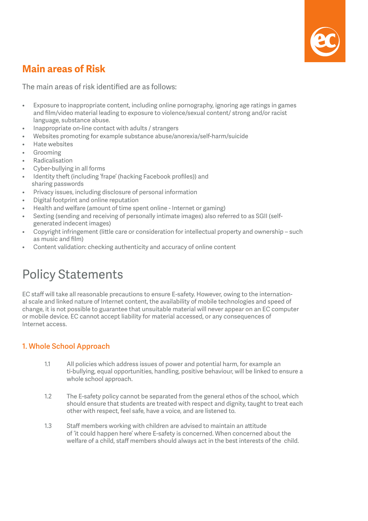

# **Main areas of Risk**

The main areas of risk identified are as follows:

- Exposure to inappropriate content, including online pornography, ignoring age ratings in games and film/video material leading to exposure to violence/sexual content/ strong and/or racist language, substance abuse.
- Inappropriate on-line contact with adults / strangers
- Websites promoting for example substance abuse/anorexia/self-harm/suicide
- Hate websites
- **Grooming**
- **Radicalisation**
- Cyber-bullying in all forms
- Identity theft (including 'frape' (hacking Facebook profiles)) and sharing passwords
- Privacy issues, including disclosure of personal information
- Digital footprint and online reputation
- Health and welfare (amount of time spent online Internet or gaming)
- Sexting (sending and receiving of personally intimate images) also referred to as SGII (selfgenerated indecent images)
- Copyright infringement (little care or consideration for intellectual property and ownership such as music and film)
- Content validation: checking authenticity and accuracy of online content

# Policy Statements

EC staff will take all reasonable precautions to ensure E-safety. However, owing to the international scale and linked nature of Internet content, the availability of mobile technologies and speed of change, it is not possible to guarantee that unsuitable material will never appear on an EC computer or mobile device. EC cannot accept liability for material accessed, or any consequences of Internet access.

### **1. Whole School Approach**

- 1.1 All policies which address issues of power and potential harm, for example an ti-bullying, equal opportunities, handling, positive behaviour, will be linked to ensure a whole school approach.
- 1.2 The E-safety policy cannot be separated from the general ethos of the school, which should ensure that students are treated with respect and dignity, taught to treat each other with respect, feel safe, have a voice, and are listened to.
- 1.3 Staff members working with children are advised to maintain an attitude of 'it could happen here' where E-safety is concerned. When concerned about the welfare of a child, staff members should always act in the best interests of the child.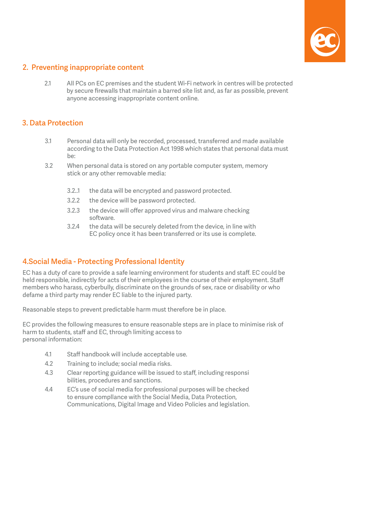

#### **2. Preventing inappropriate content**

2.1 All PCs on EC premises and the student Wi-Fi network in centres will be protected by secure firewalls that maintain a barred site list and, as far as possible, prevent anyone accessing inappropriate content online.

#### **3. Data Protection**

- 3.1 Personal data will only be recorded, processed, transferred and made available according to the Data Protection Act 1998 which states that personal data must be:
- 3.2 When personal data is stored on any portable computer system, memory stick or any other removable media:
	- 3.2..1 the data will be encrypted and password protected.
	- 3.2.2 the device will be password protected.
	- 3.2.3 the device will offer approved virus and malware checking software.
	- 3.2.4 the data will be securely deleted from the device, in line with EC policy once it has been transferred or its use is complete.

#### **4.Social Media - Protecting Professional Identity**

EC has a duty of care to provide a safe learning environment for students and staff. EC could be held responsible, indirectly for acts of their employees in the course of their employment. Staff members who harass, cyberbully, discriminate on the grounds of sex, race or disability or who defame a third party may render EC liable to the injured party.

Reasonable steps to prevent predictable harm must therefore be in place.

EC provides the following measures to ensure reasonable steps are in place to minimise risk of harm to students, staff and EC, through limiting access to personal information:

- 4.1 Staff handbook will include acceptable use.
- 4.2 Training to include; social media risks.
- 4.3 Clear reporting guidance will be issued to staff, including responsi bilities, procedures and sanctions.
- 4.4 EC's use of social media for professional purposes will be checked to ensure compllance with the Social Media, Data Protection, Communications, Digital Image and Video Policies and legislation.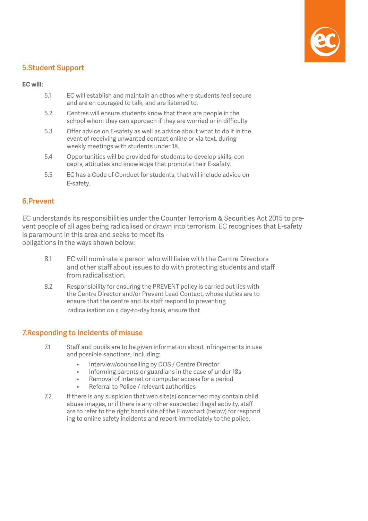

#### **5.Student Support**

#### **EC will:**

| 5.1 | EC will establish and maintain an ethos where students feel secure |
|-----|--------------------------------------------------------------------|
|     | and are en couraged to talk, and are listened to.                  |

- 5.2 Centres will ensure students know that there are people in the school whom they can approach if they are worried or in difficulty
- 5.3 Offer advice on E-safety as well as advice about what to do if in the event of receiving unwanted contact online or via text, during weekly meetings with students under 18.
- 5.4 Opportunities will be provided for students to develop skills, con cepts, attitudes and knowledge that promote their E-safety.
- 5.5 EC has a Code of Conduct for students, that will include advice on E-safety.

#### **6.Prevent**

EC understands its responsibilities under the Counter Terrorism & Securities Act 2015 to prevent people of all ages being radicalised or drawn into terrorism. EC recognises that E-safety is paramount in this area and seeks to meet its obligations in the ways shown below:

- 8.1 EC will nominate a person who will liaise with the Centre Directors and other staff about issues to do with protecting students and staff from radicalisation.
- 8.2 Responsibility for ensuring the PREVENT policy is carried out lies with the Centre Director and/or Prevent Lead Contact, whose duties are to ensure that the centre and its staff respond to preventing radicalisation on a day-to-day basis, ensure that

#### **7.Responding to incidents of misuse**

- 7.1 Staff and pupils are to be given information about infringements in use and possible sanctions, including:
	- Interview/counselling by DOS / Centre Director
	- Informing parents or guardians in the case of under 18s
	- Removal of Internet or computer access for a period
	- Referral to Police / relevant authorities
- 7.2 If there is any suspicion that web site(s) concerned may contain child abuse images, or if there is any other suspected illegal activity, staff are to refer to the right hand side of the Flowchart (below) for respond ing to online safety incidents and report immediately to the police.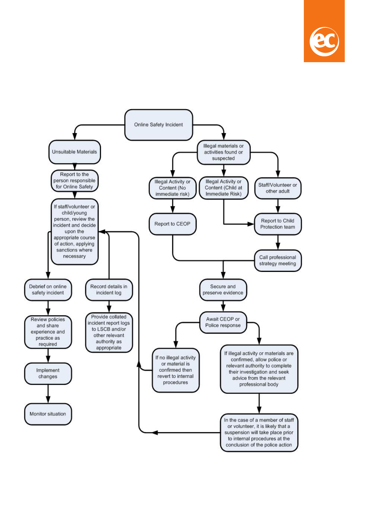

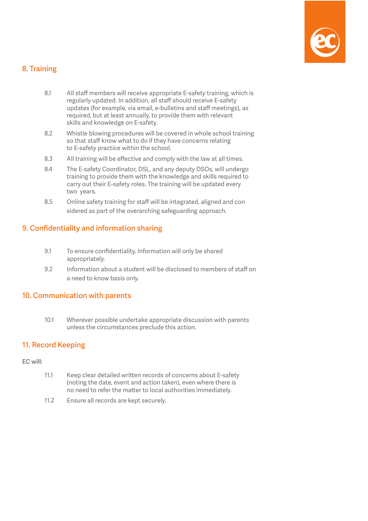

### **8. Training**

- 8.1 All staff members will receive appropriate E-safety training, which is regularly updated. In addition, all staff should receive E-safety updates (for example, via email, e-bulletins and staff meetings), as required, but at least annually, to provide them with relevant skills and knowledge on E-safety.
- 8.2 Whistle blowing procedures will be covered in whole school training so that staff know what to do if they have concerns relating to E-safety practice within the school.
- 8.3 All training will be effective and comply with the law at all times.
- 8.4 The E-safety Coordinator, DSL, and any deputy DSOs, will undergo training to provide them with the knowledge and skills required to carry out their E-safety roles. The training will be updated every two years.
- 8.5 Online safety training for staff will be integrated, aligned and con sidered as part of the overarching safeguarding approach.

## **9. Confidentiality and information sharing**

- 9.1 To ensure confidentiality, Information will only be shared appropriately.
- 9.2 Information about a student will be disclosed to members of staff on a need to know basis only.

### **10. Communication with parents**

10.1 Wherever possible undertake appropriate discussion with parents unless the circumstances preclude this action.

#### **11. Record Keeping**

#### **EC will:**

- 11.1 Keep clear detailed written records of concerns about E-safety (noting the date, event and action taken), even where there is no need to refer the matter to local authorities immediately.
- 11.2 Ensure all records are kept securely.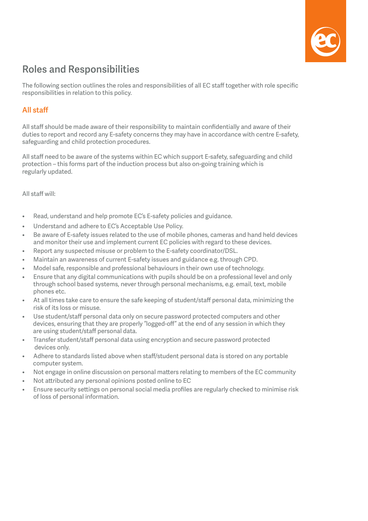

# **Roles and Responsibilities**

The following section outlines the roles and responsibilities of all EC staff together with role specific responsibilities in relation to this policy.

### **All staff**

All staff should be made aware of their responsibility to maintain confidentially and aware of their duties to report and record any E-safety concerns they may have in accordance with centre E-safety, safeguarding and child protection procedures.

All staff need to be aware of the systems within EC which support E-safety, safeguarding and child protection – this forms part of the induction process but also on-going training which is regularly updated.

All staff will:

- Read, understand and help promote EC's E-safety policies and guidance.
- Understand and adhere to EC's Acceptable Use Policy.
- Be aware of E-safety issues related to the use of mobile phones, cameras and hand held devices and monitor their use and implement current EC policies with regard to these devices.
- Report any suspected misuse or problem to the E-safety coordinator/DSL.
- Maintain an awareness of current E-safety issues and guidance e.g. through CPD.
- Model safe, responsible and professional behaviours in their own use of technology.
- Ensure that any digital communications with pupils should be on a professional level and only through school based systems, never through personal mechanisms, e.g. email, text, mobile phones etc.
- At all times take care to ensure the safe keeping of student/staff personal data, minimizing the risk of its loss or misuse.
- Use student/staff personal data only on secure password protected computers and other devices, ensuring that they are properly "logged-off" at the end of any session in which they are using student/staff personal data.
- Transfer student/staff personal data using encryption and secure password protected devices only.
- Adhere to standards listed above when staff/student personal data is stored on any portable computer system.
- Not engage in online discussion on personal matters relating to members of the EC community
- Not attributed any personal opinions posted online to EC
- Ensure security settings on personal social media profiles are regularly checked to minimise risk of loss of personal information.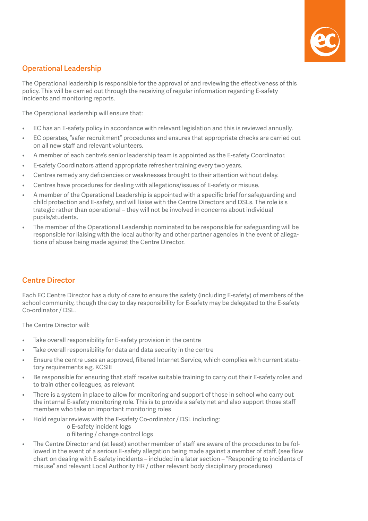

### **Operational Leadership**

The Operational leadership is responsible for the approval of and reviewing the effectiveness of this policy. This will be carried out through the receiving of regular information regarding E-safety incidents and monitoring reports.

The Operational leadership will ensure that:

- EC has an E-safety policy in accordance with relevant legislation and this is reviewed annually.
- EC operates, "safer recruitment" procedures and ensures that appropriate checks are carried out on all new staff and relevant volunteers.
- A member of each centre's senior leadership team is appointed as the E-safety Coordinator.
- E-safety Coordinators attend appropriate refresher training every two years.
- Centres remedy any deficiencies or weaknesses brought to their attention without delay.
- Centres have procedures for dealing with allegations/issues of E-safety or misuse.
- A member of the Operational Leadership is appointed with a specific brief for safeguarding and child protection and E-safety, and will liaise with the Centre Directors and DSLs. The role is s trategic rather than operational – they will not be involved in concerns about individual pupils/students.
- The member of the Operational Leadership nominated to be responsible for safeguarding will be responsible for liaising with the local authority and other partner agencies in the event of allegations of abuse being made against the Centre Director.

## **Centre Director**

Each EC Centre Director has a duty of care to ensure the safety (including E-safety) of members of the school community, though the day to day responsibility for E-safety may be delegated to the E-safety Co-ordinator / DSL.

The Centre Director will:

- Take overall responsibility for E-safety provision in the centre
- Take overall responsibility for data and data security in the centre
- Ensure the centre uses an approved, filtered Internet Service, which complies with current statutory requirements e.g. KCSIE
- Be responsible for ensuring that staff receive suitable training to carry out their E-safety roles and to train other colleagues, as relevant
- There is a system in place to allow for monitoring and support of those in school who carry out the internal E-safety monitoring role. This is to provide a safety net and also support those staff members who take on important monitoring roles
- Hold regular reviews with the E-safety Co-ordinator / DSL including:
	- o E-safety incident logs o filtering / change control logs
- The Centre Director and (at least) another member of staff are aware of the procedures to be followed in the event of a serious E-safety allegation being made against a member of staff. (see flow chart on dealing with E-safety incidents – included in a later section – "Responding to incidents of misuse" and relevant Local Authority HR / other relevant body disciplinary procedures)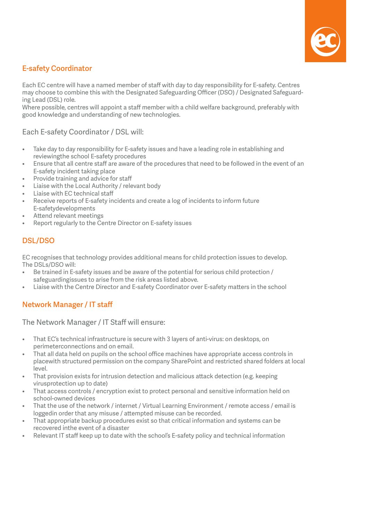

## **E-safety Coordinator**

Each EC centre will have a named member of staff with day to day responsibility for E-safety. Centres may choose to combine this with the Designated Safeguarding Officer (DSO) / Designated Safeguarding Lead (DSL) role.

Where possible, centres will appoint a staff member with a child welfare background, preferably with good knowledge and understanding of new technologies.

#### Each E-safety Coordinator / DSL will:

- Take day to day responsibility for E-safety issues and have a leading role in establishing and reviewingthe school E-safety procedures
- Ensure that all centre staff are aware of the procedures that need to be followed in the event of an E-safety incident taking place
- Provide training and advice for staff
- Liaise with the Local Authority / relevant body
- Liaise with EC technical staff
- Receive reports of E-safety incidents and create a log of incidents to inform future E-safetydevelopments
- Attend relevant meetings
- Report regularly to the Centre Director on E-safety issues

### **DSL/DSO**

EC recognises that technology provides additional means for child protection issues to develop. The DSLs/DSO will:

- Be trained in E-safety issues and be aware of the potential for serious child protection / safeguardingissues to arise from the risk areas listed above.
- Liaise with the Centre Director and E-safety Coordinator over E-safety matters in the school

### **Network Manager / IT staff**

The Network Manager / IT Staff will ensure:

- That EC's technical infrastructure is secure with 3 layers of anti-virus: on desktops, on perimeterconnections and on email.
- That all data held on pupils on the school office machines have appropriate access controls in placewith structured permission on the company SharePoint and restricted shared folders at local level.
- That provision exists for intrusion detection and malicious attack detection (e.g. keeping virusprotection up to date)
- That access controls / encryption exist to protect personal and sensitive information held on school-owned devices
- That the use of the network / internet / Virtual Learning Environment / remote access / email is loggedin order that any misuse / attempted misuse can be recorded.
- That appropriate backup procedures exist so that critical information and systems can be recovered inthe event of a disaster
- Relevant IT staff keep up to date with the school's E-safety policy and technical information